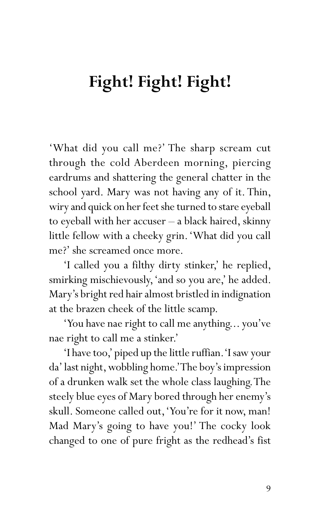## **Fight! Fight! Fight!**

'What did you call me?' The sharp scream cut through the cold Aberdeen morning, piercing eardrums and shattering the general chatter in the school yard. Mary was not having any of it. Thin, wiry and quick on her feet she turned to stare eyeball to eyeball with her accuser – a black haired, skinny little fellow with a cheeky grin. 'What did you call me?' she screamed once more.

'I called you a filthy dirty stinker,' he replied, smirking mischievously, 'and so you are,' he added. Mary's bright red hair almost bristled in indignation at the brazen cheek of the little scamp.

'You have nae right to call me anything... you've nae right to call me a stinker.'

'I have too,' piped up the little ruffian. 'I saw your da' last night, wobbling home.' The boy's impression of a drunken walk set the whole class laughing. The steely blue eyes of Mary bored through her enemy's skull. Someone called out, 'You're for it now, man! Mad Mary's going to have you!' The cocky look changed to one of pure fright as the redhead's fist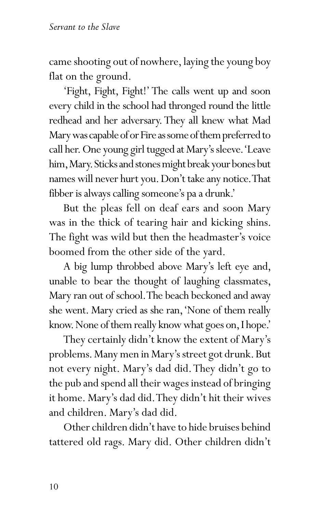came shooting out of nowhere, laying the young boy flat on the ground.

'Fight, Fight, Fight!' The calls went up and soon every child in the school had thronged round the little redhead and her adversary. They all knew what Mad Mary was capable of or Fire as some of them preferred to call her. One young girl tugged at Mary's sleeve. 'Leave him, Mary. Sticks and stones might break your bones but names will never hurt you. Don't take any notice. That fibber is always calling someone's pa a drunk.'

But the pleas fell on deaf ears and soon Mary was in the thick of tearing hair and kicking shins. The fight was wild but then the headmaster's voice boomed from the other side of the yard.

A big lump throbbed above Mary's left eye and, unable to bear the thought of laughing classmates, Mary ran out of school. The beach beckoned and away she went. Mary cried as she ran, 'None of them really know. None of them really know what goes on, I hope.'

They certainly didn't know the extent of Mary's problems. Many men in Mary's street got drunk. But not every night. Mary's dad did. They didn't go to the pub and spend all their wages instead of bringing it home. Mary's dad did. They didn't hit their wives and children. Mary's dad did.

Other children didn't have to hide bruises behind tattered old rags. Mary did. Other children didn't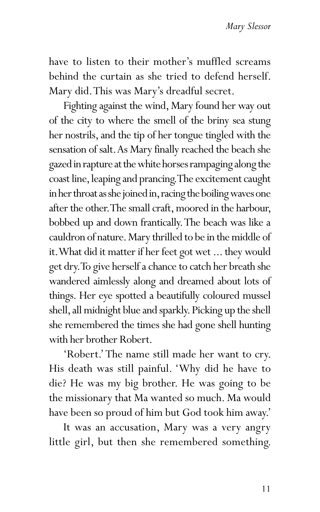have to listen to their mother's muffled screams behind the curtain as she tried to defend herself. Mary did. This was Mary's dreadful secret.

Fighting against the wind, Mary found her way out of the city to where the smell of the briny sea stung her nostrils, and the tip of her tongue tingled with the sensation of salt. As Mary finally reached the beach she gazed in rapture at the white horses rampaging along the coast line, leaping and prancing. The excitement caught in her throat as she joined in, racing the boiling waves one after the other. The small craft, moored in the harbour, bobbed up and down frantically. The beach was like a cauldron of nature. Mary thrilled to be in the middle of it. What did it matter if her feet got wet ... they would get dry. To give herself a chance to catch her breath she wandered aimlessly along and dreamed about lots of things. Her eye spotted a beautifully coloured mussel shell, all midnight blue and sparkly. Picking up the shell she remembered the times she had gone shell hunting with her brother Robert.

'Robert.' The name still made her want to cry. His death was still painful. 'Why did he have to die? He was my big brother. He was going to be the missionary that Ma wanted so much. Ma would have been so proud of him but God took him away.'

It was an accusation, Mary was a very angry little girl, but then she remembered something.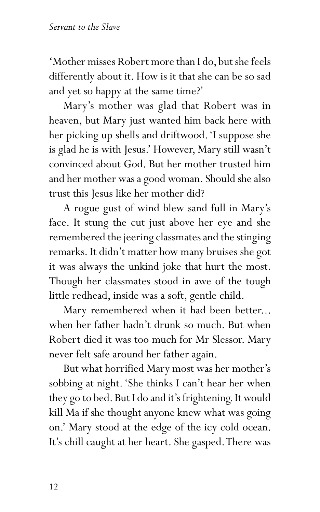'Mother misses Robert more than I do, but she feels differently about it. How is it that she can be so sad and yet so happy at the same time?'

Mary's mother was glad that Robert was in heaven, but Mary just wanted him back here with her picking up shells and driftwood. 'I suppose she is glad he is with Jesus.' However, Mary still wasn't convinced about God. But her mother trusted him and her mother was a good woman. Should she also trust this Jesus like her mother did?

A rogue gust of wind blew sand full in Mary's face. It stung the cut just above her eye and she remembered the jeering classmates and the stinging remarks. It didn't matter how many bruises she got it was always the unkind joke that hurt the most. Though her classmates stood in awe of the tough little redhead, inside was a soft, gentle child.

Mary remembered when it had been better... when her father hadn't drunk so much. But when Robert died it was too much for Mr Slessor. Mary never felt safe around her father again.

But what horrified Mary most was her mother's sobbing at night. 'She thinks I can't hear her when they go to bed. But I do and it's frightening. It would kill Ma if she thought anyone knew what was going on.' Mary stood at the edge of the icy cold ocean. It's chill caught at her heart. She gasped. There was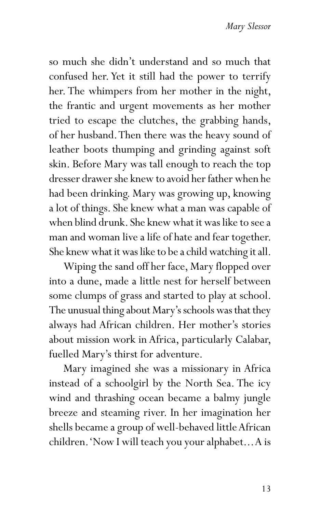so much she didn't understand and so much that confused her. Yet it still had the power to terrify her. The whimpers from her mother in the night, the frantic and urgent movements as her mother tried to escape the clutches, the grabbing hands, of her husband. Then there was the heavy sound of leather boots thumping and grinding against soft skin. Before Mary was tall enough to reach the top dresser drawer she knew to avoid her father when he had been drinking. Mary was growing up, knowing a lot of things. She knew what a man was capable of when blind drunk. She knew what it was like to see a man and woman live a life of hate and fear together. She knew what it was like to be a child watching it all.

Wiping the sand off her face, Mary flopped over into a dune, made a little nest for herself between some clumps of grass and started to play at school. The unusual thing about Mary's schools was that they always had African children. Her mother's stories about mission work in Africa, particularly Calabar, fuelled Mary's thirst for adventure.

Mary imagined she was a missionary in Africa instead of a schoolgirl by the North Sea. The icy wind and thrashing ocean became a balmy jungle breeze and steaming river. In her imagination her shells became a group of well-behaved little African children. 'Now I will teach you your alphabet... A is